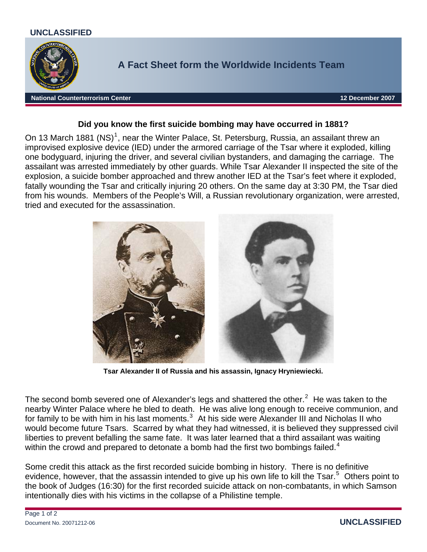## **UNCLASSIFIED**



## **Did you know the first suicide bombing may have occurred in 1881?**

On [1](#page-1-0)3 March 1881 (NS)<sup>1</sup>, near the Winter Palace, St. Petersburg, Russia, an assailant threw an improvised explosive device (IED) under the armored carriage of the Tsar where it exploded, killing one bodyguard, injuring the driver, and several civilian bystanders, and damaging the carriage. The assailant was arrested immediately by other guards. While Tsar Alexander II inspected the site of the explosion, a suicide bomber approached and threw another IED at the Tsar's feet where it exploded, fatally wounding the Tsar and critically injuring 20 others. On the same day at 3:30 PM, the Tsar died from his wounds. Members of the People's Will, a Russian revolutionary organization, were arrested, tried and executed for the assassination.



**Tsar Alexander II of Russia and his assassin, Ignacy Hryniewiecki.** 

The second bomb severed one of Alexander's legs and shattered the other.<sup>[2](#page-1-1)</sup> He was taken to the nearby Winter Palace where he bled to death. He was alive long enough to receive communion, and for family to be with him in his last moments. $^3$  $^3$  At his side were Alexander III and Nicholas II who would become future Tsars. Scarred by what they had witnessed, it is believed they suppressed civil liberties to prevent befalling the same fate. It was later learned that a third assailant was waiting within the crowd and prepared to detonate a bomb had the first two bombings failed.<sup>[4](#page-1-1)</sup>

Some credit this attack as the first recorded suicide bombing in history. There is no definitive evidence, however, that the assassin intended to give up his own life to kill the Tsar.<sup>[5](#page-1-1)</sup> Others point to the book of Judges (16:30) for the first recorded suicide attack on non-combatants, in which Samson intentionally dies with his victims in the collapse of a Philistine temple.